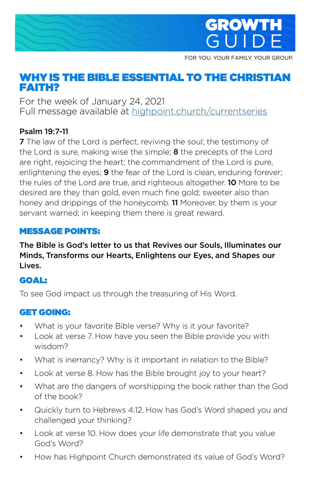

FOR YOU. YOUR FAMILY. YOUR GROUP.

# WHY IS THE BIBLE ESSENTIAL TO THE CHRISTIAN FAITH?

For the week of January 24, 2021 Full message available at [highpoint.church/currentseries](http://highpoint.church/currentseries)

#### Psalm 19:7-11

**7** The law of the Lord is perfect, reviving the soul; the testimony of the Lord is sure, making wise the simple; 8 the precepts of the Lord are right, rejoicing the heart; the commandment of the Lord is pure, enlightening the eyes; **9** the fear of the Lord is clean, enduring forever; the rules of the Lord are true, and righteous altogether. 10 More to be desired are they than gold, even much fine gold; sweeter also than honey and drippings of the honeycomb. 11 Moreover, by them is your servant warned; in keeping them there is great reward.

#### MESSAGE POINTS:

The Bible is God's letter to us that Revives our Souls, Illuminates our Minds, Transforms our Hearts, Enlightens our Eyes, and Shapes our Lives.

## GOAL:

To see God impact us through the treasuring of His Word.

### GET GOING:

- What is your favorite Bible verse? Why is it your favorite?
- Look at verse 7. How have you seen the Bible provide you with wisdom?
- What is inerrancy? Why is it important in relation to the Bible?
- Look at verse 8. How has the Bible brought joy to your heart?
- What are the dangers of worshipping the book rather than the God of the book?
- Quickly turn to Hebrews 4:12. How has God's Word shaped you and challenged your thinking?
- Look at verse 10. How does your life demonstrate that you value God's Word?
- How has Highpoint Church demonstrated its value of God's Word?